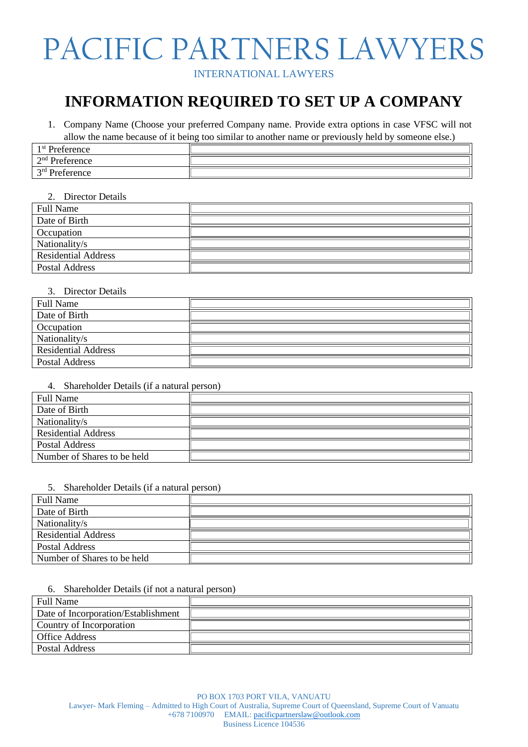## PACIFIC PARTNERS LAWYERS

INTERNATIONAL LAWYERS

## **INFORMATION REQUIRED TO SET UP A COMPANY**

1. Company Name (Choose your preferred Company name. Provide extra options in case VFSC will not allow the name because of it being too similar to another name or previously held by someone else.)

| 1 <sup>st</sup> Preference |  |  |  |
|----------------------------|--|--|--|
| $2nd$ Preference           |  |  |  |
| $2rd$ Dreference           |  |  |  |

### 2. Director Details

| <b>Full Name</b>           |  |
|----------------------------|--|
| Date of Birth              |  |
| Occupation                 |  |
| Nationality/s              |  |
| <b>Residential Address</b> |  |
| <b>Postal Address</b>      |  |

### 3. Director Details

| <b>Full Name</b>           |  |
|----------------------------|--|
| Date of Birth              |  |
| Occupation                 |  |
| Nationality/s              |  |
| <b>Residential Address</b> |  |
| <b>Postal Address</b>      |  |

### 4. Shareholder Details (if a natural person)

| <b>Full Name</b>            |  |
|-----------------------------|--|
| Date of Birth               |  |
| Nationality/s               |  |
| <b>Residential Address</b>  |  |
| Postal Address              |  |
| Number of Shares to be held |  |

### 5. Shareholder Details (if a natural person)

| <b>Full Name</b>            |  |
|-----------------------------|--|
| Date of Birth               |  |
| Nationality/s               |  |
| <b>Residential Address</b>  |  |
| <b>Postal Address</b>       |  |
| Number of Shares to be held |  |

### 6. Shareholder Details (if not a natural person)

| <b>Full Name</b>                    |  |
|-------------------------------------|--|
| Date of Incorporation/Establishment |  |
| Country of Incorporation            |  |
| <b>Office Address</b>               |  |
| Postal Address                      |  |